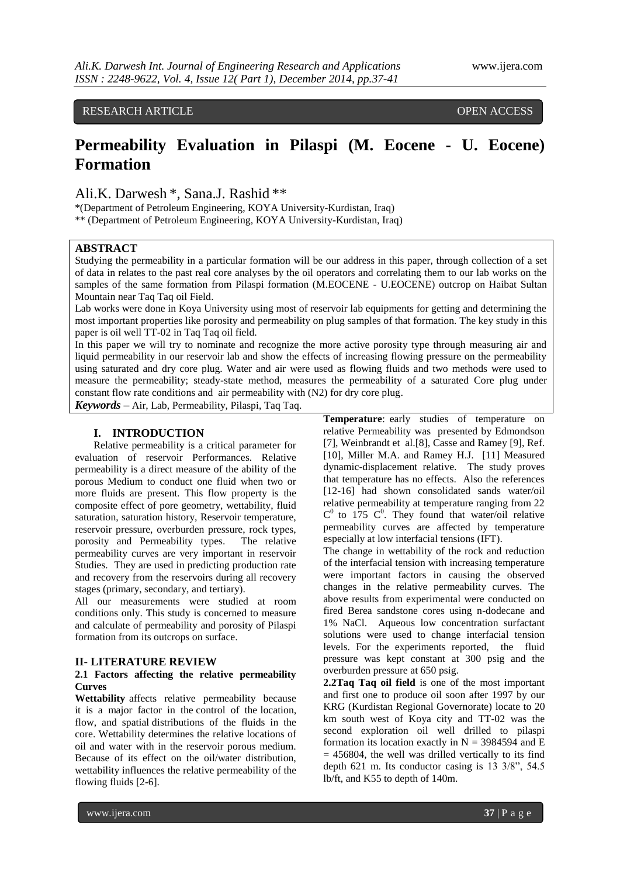## RESEARCH ARTICLE **CONTRACT ARTICLE**

# **Permeability Evaluation in Pilaspi (M. Eocene - U. Eocene) Formation**

Ali.K. Darwesh \*, Sana.J. Rashid \*\*

\*(Department of Petroleum Engineering, KOYA University-Kurdistan, Iraq)

\*\* (Department of Petroleum Engineering, KOYA University-Kurdistan, Iraq)

## **ABSTRACT**

Studying the permeability in a particular formation will be our address in this paper, through collection of a set of data in relates to the past real core analyses by the oil operators and correlating them to our lab works on the samples of the same formation from Pilaspi formation (M.EOCENE - U.EOCENE) outcrop on Haibat Sultan Mountain near Taq Taq oil Field.

Lab works were done in Koya University using most of reservoir lab equipments for getting and determining the most important properties like porosity and permeability on plug samples of that formation. The key study in this paper is oil well TT-02 in Taq Taq oil field.

In this paper we will try to nominate and recognize the more active porosity type through measuring air and liquid permeability in our reservoir lab and show the effects of increasing flowing pressure on the permeability using saturated and dry core plug. Water and air were used as flowing fluids and two methods were used to measure the permeability; steady-state method, measures the permeability of a saturated Core plug under constant flow rate conditions and air permeability with (N2) for dry core plug.

*Keywords* **–** Air, Lab, Permeability, Pilaspi, Taq Taq.

## **I. INTRODUCTION**

Relative permeability is a critical parameter for evaluation of reservoir Performances. Relative permeability is a direct measure of the ability of the porous Medium to conduct one fluid when two or more fluids are present. This flow property is the composite effect of pore geometry, wettability, fluid saturation, saturation history, Reservoir temperature, reservoir pressure, overburden pressure, rock types, porosity and Permeability types. The relative permeability curves are very important in reservoir Studies. They are used in predicting production rate and recovery from the reservoirs during all recovery stages (primary, secondary, and tertiary).

All our measurements were studied at room conditions only. This study is concerned to measure and calculate of permeability and porosity of Pilaspi formation from its outcrops on surface.

#### **II- LITERATURE REVIEW**

## **2.1 Factors affecting the relative permeability Curves**

**Wettability** affects relative permeability because it is a major factor in the control of the location, flow, and spatial distributions of the fluids in the core. Wettability determines the relative locations of oil and water with in the reservoir porous medium. Because of its effect on the oil/water distribution, wettability influences the relative permeability of the flowing fluids [2-6].

**Temperature**: early studies of temperature on relative Permeability was presented by Edmondson [7], Weinbrandt et al.[8], Casse and Ramey [9], Ref. [10], Miller M.A. and Ramey H.J. [11] Measured dynamic-displacement relative. The study proves that temperature has no effects. Also the references [12-16] had shown consolidated sands water/oil relative permeability at temperature ranging from 22  $C^0$  to 175  $C^0$ . They found that water/oil relative permeability curves are affected by temperature especially at low interfacial tensions (IFT).

The change in wettability of the rock and reduction of the interfacial tension with increasing temperature were important factors in causing the observed changes in the relative permeability curves. The above results from experimental were conducted on fired Berea sandstone cores using n-dodecane and 1% NaCl. Aqueous low concentration surfactant solutions were used to change interfacial tension levels. For the experiments reported, the fluid pressure was kept constant at 300 psig and the overburden pressure at 650 psig.

**2.2Taq Taq oil field** is one of the most important and first one to produce oil soon after 1997 by our KRG (Kurdistan Regional Governorate) locate to 20 km south west of Koya city and TT-02 was the second exploration oil well drilled to pilaspi formation its location exactly in  $N = 3984594$  and E  $= 456804$ , the well was drilled vertically to its find depth 621 m. Its conductor casing is 13 3/8", 54.5 lb/ft, and K55 to depth of 140m.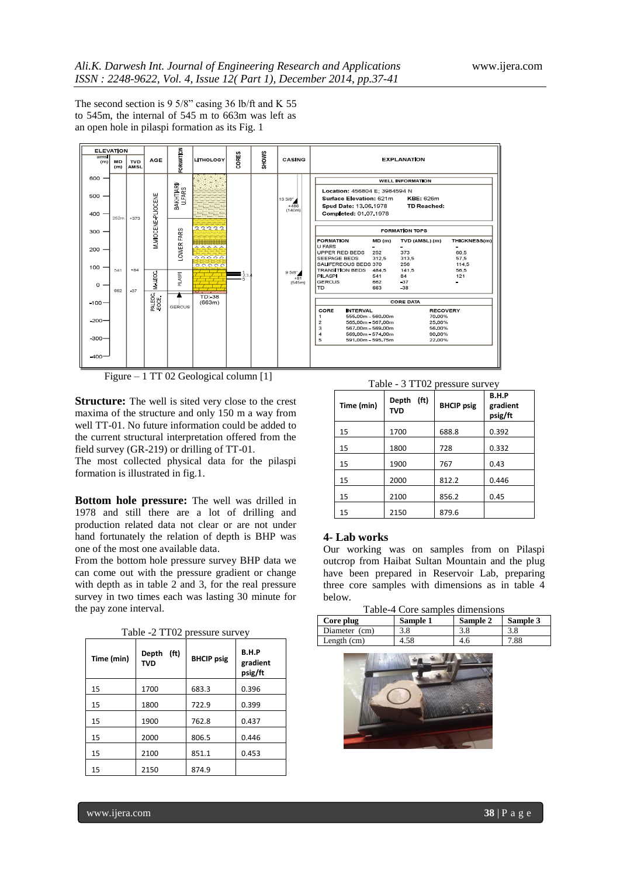The second section is 9 5/8" casing 36 lb/ft and K 55 to 545m, the internal of 545 m to 663m was left as an open hole in pilaspi formation as its Fig. 1



Figure – 1 TT 02 Geological column [1]

**Structure:** The well is sited very close to the crest maxima of the structure and only 150 m a way from well TT-01. No future information could be added to the current structural interpretation offered from the field survey (GR-219) or drilling of TT-01.

The most collected physical data for the pilaspi formation is illustrated in fig.1.

**Bottom hole pressure:** The well was drilled in 1978 and still there are a lot of drilling and production related data not clear or are not under hand fortunately the relation of depth is BHP was one of the most one available data.

From the bottom hole pressure survey BHP data we can come out with the pressure gradient or change with depth as in table 2 and 3, for the real pressure survey in two times each was lasting 30 minute for the pay zone interval.

|            |                                          | $1 \text{ and } 2 \text{ is not a positive.}$ |       |  |  |
|------------|------------------------------------------|-----------------------------------------------|-------|--|--|
| Time (min) | (f <sub>t</sub> )<br>Depth<br><b>TVD</b> | <b>BHCIP</b> psig                             |       |  |  |
| 15         | 1700                                     | 683.3                                         | 0.396 |  |  |
| 15         | 1800                                     | 722.9                                         | 0.399 |  |  |
| 15         | 1900                                     | 762.8                                         | 0.437 |  |  |
| 15         | 2000                                     | 806.5                                         | 0.446 |  |  |
| 15         | 2100                                     | 851.1                                         | 0.453 |  |  |
| 15         | 2150                                     | 874.9                                         |       |  |  |

Table -2 TT02 pressure survey

Table - 3 TT02 pressure survey

| Time (min) | (ft)<br>Depth<br><b>TVD</b> | <b>BHCIP</b> psig | B.H.P<br>gradient<br>psig/ft |  |
|------------|-----------------------------|-------------------|------------------------------|--|
| 15         | 1700                        | 688.8             | 0.392                        |  |
| 15         | 1800                        | 728               | 0.332                        |  |
| 15         | 1900                        | 767               | 0.43                         |  |
| 15         | 2000                        | 812.2             | 0.446                        |  |
| 15         | 2100                        | 856.2             | 0.45                         |  |
| 15         | 2150                        | 879.6             |                              |  |

#### **4- Lab works**

Our working was on samples from on Pilaspi outcrop from Haibat Sultan Mountain and the plug have been prepared in Reservoir Lab, preparing three core samples with dimensions as in table 4 below.

| Table-4 Core samples dimensions |  |  |
|---------------------------------|--|--|
|                                 |  |  |

| Core plug     | Sample 1 | Sample 2 | Sample 3 |
|---------------|----------|----------|----------|
| Diameter (cm) | 3.8      | 3.8      | 3.8      |
| Length $(cm)$ | 4.58     | 4.6      | 7.88     |

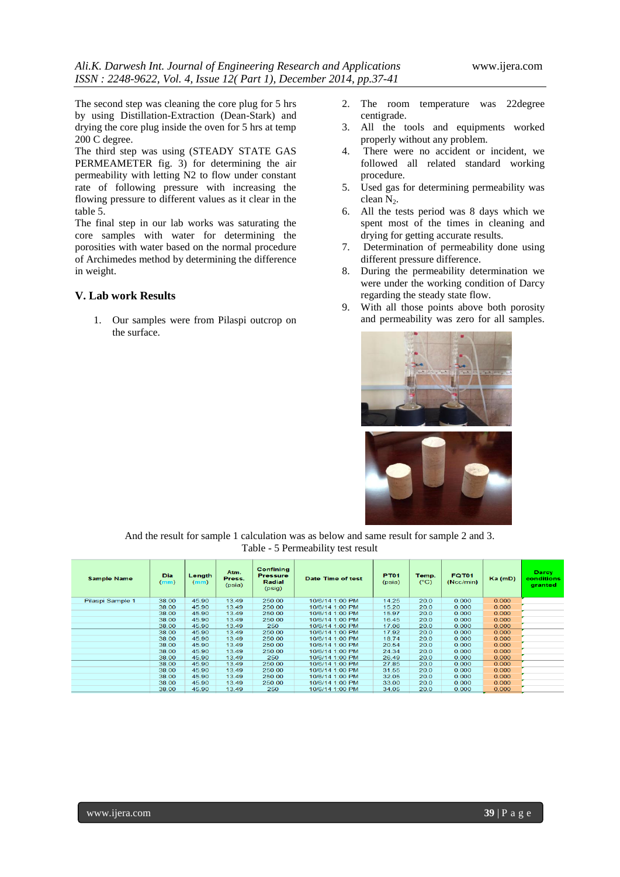The second step was cleaning the core plug for 5 hrs by using Distillation-Extraction (Dean-Stark) and drying the core plug inside the oven for 5 hrs at temp 200 C degree.

The third step was using (STEADY STATE GAS PERMEAMETER fig. 3) for determining the air permeability with letting N2 to flow under constant rate of following pressure with increasing the flowing pressure to different values as it clear in the table 5.

The final step in our lab works was saturating the core samples with water for determining the porosities with water based on the normal procedure of Archimedes method by determining the difference in weight.

## **V. Lab work Results**

1. Our samples were from Pilaspi outcrop on the surface.

- 2. The room temperature was 22degree centigrade.
- 3. All the tools and equipments worked properly without any problem.
- 4. There were no accident or incident, we followed all related standard working procedure.
- 5. Used gas for determining permeability was clean  $N_2$ .
- 6. All the tests period was 8 days which we spent most of the times in cleaning and drying for getting accurate results.
- 7. Determination of permeability done using different pressure difference.
- 8. During the permeability determination we were under the working condition of Darcy regarding the steady state flow.
- 9. With all those points above both porosity and permeability was zero for all samples.





And the result for sample 1 calculation was as below and same result for sample 2 and 3. Table - 5 Permeability test result

| <b>Sample Name</b> | <b>Dia</b><br>(mm) | Length<br>(mm) | Atm.<br>Press.<br>(psia) | <b>Confining</b><br><b>Pressure</b><br>Radial<br>(psig) | Date Time of test | <b>PT01</b><br>(psia) | Temp.<br>$(^{\circ}C)$ | <b>FQT01</b><br>(Ncc/min) | $Ka$ (mD) | Darcy<br>conditions<br>granted |
|--------------------|--------------------|----------------|--------------------------|---------------------------------------------------------|-------------------|-----------------------|------------------------|---------------------------|-----------|--------------------------------|
| Pilaspi Sample 1   | 38.00              | 45.90          | 13.49                    | 250.00                                                  | 10/6/14 1:00 PM   | 14.25                 | 20.0                   | 0.000                     | 0.000     |                                |
|                    | 38.00              | 45.90          | 13.49                    | 250.00                                                  | 10/6/14 1:00 PM   | 15.20                 | 20.0                   | 0.000                     | 0.000     |                                |
|                    | 38.00              | 45.90          | 13.49                    | 250.00                                                  | 10/6/14 1:00 PM   | 15.97                 | 20.0                   | 0.000                     | 0.000     |                                |
|                    | 38.00              | 45.90          | 13.49                    | 250.00                                                  | 10/6/14 1:00 PM   | 16.45                 | 20.0                   | 0.000                     | 0.000     |                                |
|                    | 38.00              | 45.90          | 13.49                    | 250                                                     | 10/6/14 1:00 PM   | 17.06                 | 20.0                   | 0.000                     | 0.000     |                                |
|                    | 38.00              | 45.90          | 13.49                    | 250.00                                                  | 10/6/14 1:00 PM   | 17.92                 | 20.0                   | 0.000                     | 0.000     |                                |
|                    | 38.00              | 45.90          | 13.49                    | 250.00                                                  | 10/6/14 1:00 PM   | 18.74                 | 20.0                   | 0.000                     | 0.000     |                                |
|                    | 38.00              | 45.90          | 13.49                    | 250.00                                                  | 10/6/14 1:00 PM   | 20.54                 | 20.0                   | 0.000                     | 0.000     |                                |
|                    | 38.00              | 45.90          | 13.49                    | 250.00                                                  | 10/6/14 1:00 PM   | 24.34                 | 20.0                   | 0.000                     | 0.000     |                                |
|                    | 38.00              | 45.90          | 13.49                    | 250                                                     | 10/6/14 1:00 PM   | 26.49                 | 20.0                   | 0.000                     | 0.000     |                                |
|                    | 38.00              | 45.90          | 13.49                    | 250.00                                                  | 10/6/14 1:00 PM   | 27.85                 | 20.0                   | 0.000                     | 0.000     |                                |
|                    | 38.00              | 45.90          | 13.49                    | 250.00                                                  | 10/6/14 1:00 PM   | 31.55                 | 20.0                   | 0.000                     | 0.000     |                                |
|                    | 38.00              | 45.90          | 13.49                    | 250.00                                                  | 10/6/14 1:00 PM   | 32.05                 | 20.0                   | 0.000                     | 0.000     |                                |
|                    | 38.00              | 45.90          | 13.49                    | 250.00                                                  | 10/6/14 1:00 PM   | 33.00                 | 20.0                   | 0.000                     | 0.000     |                                |
|                    | 38.00              | 45.90          | 13.49                    | 250                                                     | 10/6/14 1:00 PM   | 34.05                 | 20.0                   | 0.000                     | 0.000     |                                |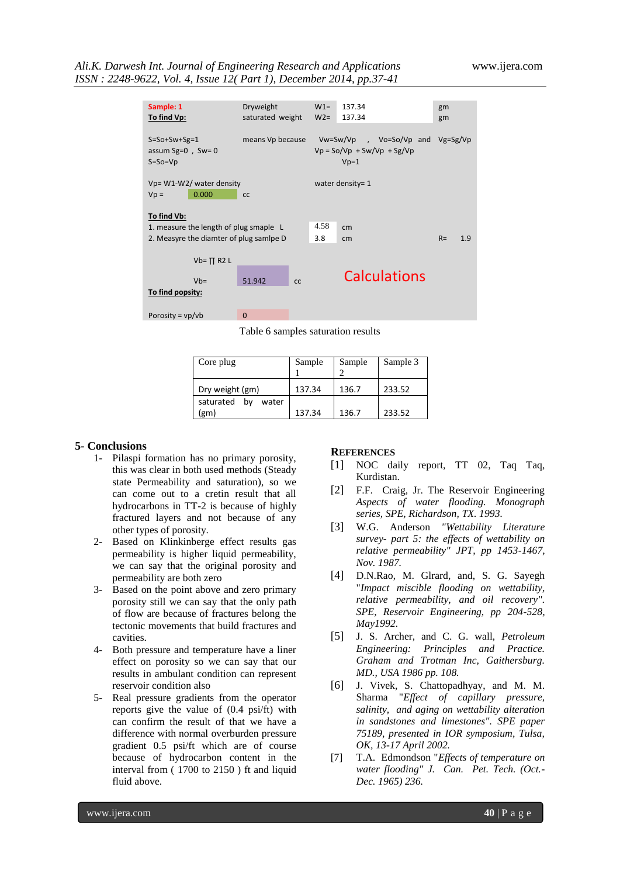## *Ali.K. Darwesh Int. Journal of Engineering Research and Applications* www.ijera.com *ISSN : 2248-9622, Vol. 4, Issue 12( Part 1), December 2014, pp.37-41*

| Sample: 1                               | Dryweight        | $W1=$ | 137.34                                       | gm    |     |
|-----------------------------------------|------------------|-------|----------------------------------------------|-------|-----|
| To find Vp:                             | saturated weight | $W2=$ | 137.34                                       | gm    |     |
|                                         |                  |       |                                              |       |     |
| $S = S_0 + Sw + Sg = 1$                 | means Vp because |       | $Vw = Sw/Vp$ , $Vo = So/Vp$ and $Vg = Sg/Vp$ |       |     |
| assum Sg= $0$ , Sw= $0$                 |                  |       | $Vp = So/Vp + Sw/Vp + Sg/Vp$                 |       |     |
| $S = SO = Vp$                           |                  |       | $Vp=1$                                       |       |     |
|                                         |                  |       |                                              |       |     |
| Vp= W1-W2/ water density                |                  |       | water density= 1                             |       |     |
| 0.000<br>$Vp =$                         | <b>CC</b>        |       |                                              |       |     |
|                                         |                  |       |                                              |       |     |
| To find Vb:                             |                  |       |                                              |       |     |
| 1. measure the length of plug smaple L  |                  | 4.58  | cm                                           |       |     |
| 2. Measyre the diamter of plug samipe D |                  | 3.8   | cm                                           | $R =$ | 1.9 |
|                                         |                  |       |                                              |       |     |
| $Vb = \Pi R2 L$                         |                  |       |                                              |       |     |
|                                         |                  |       | <b>Calculations</b>                          |       |     |
| $Vb=$                                   | 51.942<br>cc     |       |                                              |       |     |
| To find popsity:                        |                  |       |                                              |       |     |
|                                         |                  |       |                                              |       |     |
| Porosity = $vp/b$                       | $\Omega$         |       |                                              |       |     |

Table 6 samples saturation results

| Core plug                | Sample | Sample | Sample 3 |
|--------------------------|--------|--------|----------|
| Dry weight (gm)          | 137.34 | 136.7  | 233.52   |
| saturated<br>bv<br>water |        |        |          |
| (g <sub>m</sub> )        | 137.34 | 136.7  | 233.52   |

#### **5- Conclusions**

- 1- Pilaspi formation has no primary porosity, this was clear in both used methods (Steady state Permeability and saturation), so we can come out to a cretin result that all hydrocarbons in TT-2 is because of highly fractured layers and not because of any other types of porosity.
- 2- Based on Klinkinberge effect results gas permeability is higher liquid permeability, we can say that the original porosity and permeability are both zero
- 3- Based on the point above and zero primary porosity still we can say that the only path of flow are because of fractures belong the tectonic movements that build fractures and cavities.
- 4- Both pressure and temperature have a liner effect on porosity so we can say that our results in ambulant condition can represent reservoir condition also
- 5- Real pressure gradients from the operator reports give the value of (0.4 psi/ft) with can confirm the result of that we have a difference with normal overburden pressure gradient 0.5 psi/ft which are of course because of hydrocarbon content in the interval from ( 1700 to 2150 ) ft and liquid fluid above.

#### **REFERENCES**

- [1] NOC daily report, TT 02, Taq Taq, Kurdistan.
- [2] F.F. Craig, Jr. The Reservoir Engineering *Aspects of water flooding. Monograph series, SPE, Richardson, TX. 1993.*
- [3] W.G. Anderson *"Wettability Literature survey- part 5: the effects of wettability on relative permeability" JPT, pp 1453-1467, Nov. 1987.*
- [4] D.N.Rao, M. Glrard, and, S. G. Sayegh "*Impact miscible flooding on wettability, relative permeability, and oil recovery". SPE, Reservoir Engineering, pp 204-528, May1992.*
- [5] J. S. Archer, and C. G. wall, *Petroleum Engineering: Principles and Practice. Graham and Trotman Inc, Gaithersburg. MD., USA 1986 pp. 108.*
- [6] J. Vivek, S. Chattopadhyay, and M. M. Sharma "*Effect of capillary pressure, salinity, and aging on wettability alteration in sandstones and limestones". SPE paper 75189, presented in IOR symposium, Tulsa, OK, 13-17 April 2002.*
- [7] T.A. Edmondson "*Effects of temperature on water flooding" J. Can. Pet. Tech. (Oct.- Dec. 1965) 236.*